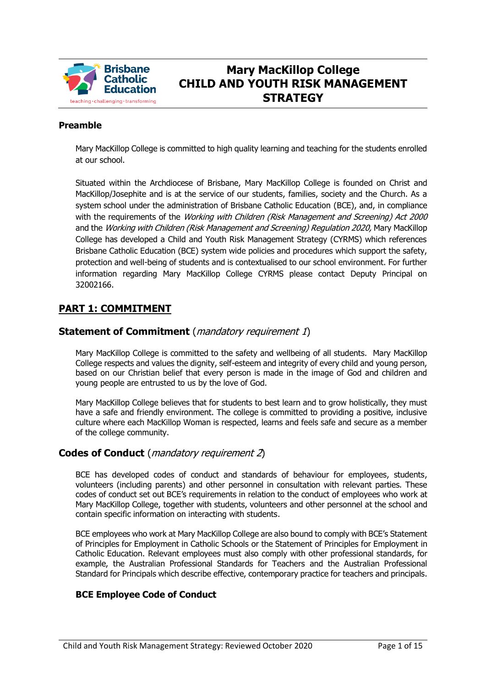

# **Mary MacKillop College CHILD AND YOUTH RISK MANAGEMENT STRATEGY**

### **Preamble**

Mary MacKillop College is committed to high quality learning and teaching for the students enrolled at our school.

Situated within the Archdiocese of Brisbane, Mary MacKillop College is founded on Christ and MacKillop/Josephite and is at the service of our students, families, society and the Church. As a system school under the administration of Brisbane Catholic Education (BCE), and, in compliance with the requirements of the Working with Children (Risk Management and Screening) Act 2000 and the Working with Children (Risk Management and Screening) Regulation 2020, Mary MacKillop College has developed a Child and Youth Risk Management Strategy (CYRMS) which references Brisbane Catholic Education (BCE) system wide policies and procedures which support the safety, protection and well-being of students and is contextualised to our school environment. For further information regarding Mary MacKillop College CYRMS please contact Deputy Principal on 32002166.

# **PART 1: COMMITMENT**

# **Statement of Commitment** (*mandatory requirement 1*)

Mary MacKillop College is committed to the safety and wellbeing of all students. Mary MacKillop College respects and values the dignity, self-esteem and integrity of every child and young person, based on our Christian belief that every person is made in the image of God and children and young people are entrusted to us by the love of God.

Mary MacKillop College believes that for students to best learn and to grow holistically, they must have a safe and friendly environment. The college is committed to providing a positive, inclusive culture where each MacKillop Woman is respected, learns and feels safe and secure as a member of the college community.

# **Codes of Conduct** (mandatory requirement 2)

BCE has developed codes of conduct and standards of behaviour for employees, students, volunteers (including parents) and other personnel in consultation with relevant parties. These codes of conduct set out BCE's requirements in relation to the conduct of employees who work at Mary MacKillop College, together with students, volunteers and other personnel at the school and contain specific information on interacting with students.

BCE employees who work at Mary MacKillop College are also bound to comply with BCE's Statement of Principles for Employment in Catholic Schools or the Statement of Principles for Employment in Catholic Education. Relevant employees must also comply with other professional standards, for example, the Australian Professional Standards for Teachers and the Australian Professional Standard for Principals which describe effective, contemporary practice for teachers and principals.

### **BCE Employee Code of Conduct**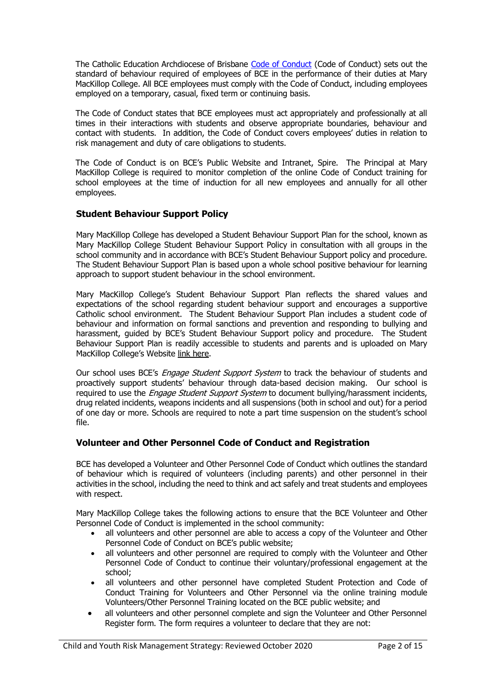The Catholic Education Archdiocese of Brisbane [Code of Conduct](http://www.bne.catholic.edu.au/bce-employment/new-employee-and-staff-benefits/Onboarding/BCE%20Code%20of%20Conduct.pdf) (Code of Conduct) sets out the standard of behaviour required of employees of BCE in the performance of their duties at Mary MacKillop College. All BCE employees must comply with the Code of Conduct, including employees employed on a temporary, casual, fixed term or continuing basis.

The Code of Conduct states that BCE employees must act appropriately and professionally at all times in their interactions with students and observe appropriate boundaries, behaviour and contact with students. In addition, the Code of Conduct covers employees' duties in relation to risk management and duty of care obligations to students.

The Code of Conduct is on BCE's Public Website and Intranet, Spire. The Principal at Mary MacKillop College is required to monitor completion of the online Code of Conduct training for school employees at the time of induction for all new employees and annually for all other employees.

### **Student Behaviour Support Policy**

Mary MacKillop College has developed a Student Behaviour Support Plan for the school, known as Mary MacKillop College Student Behaviour Support Policy in consultation with all groups in the school community and in accordance with BCE's Student Behaviour Support policy and procedure. The Student Behaviour Support Plan is based upon a whole school positive behaviour for learning approach to support student behaviour in the school environment.

Mary MacKillop College's Student Behaviour Support Plan reflects the shared values and expectations of the school regarding student behaviour support and encourages a supportive Catholic school environment. The Student Behaviour Support Plan includes a student code of behaviour and information on formal sanctions and prevention and responding to bullying and harassment, guided by BCE's Student Behaviour Support policy and procedure. The Student Behaviour Support Plan is readily accessible to students and parents and is uploaded on Mary MacKillop College's Website [link here.](http://www.mmc.qld.edu.au/bce-policies/Policy%20Documents/MMC%20Student%20Behaviour%20Support%20Policy.pdf)

Our school uses BCE's *Engage Student Support System* to track the behaviour of students and proactively support students' behaviour through data-based decision making. Our school is required to use the *Engage Student Support System* to document bullying/harassment incidents, drug related incidents, weapons incidents and all suspensions (both in school and out) for a period of one day or more. Schools are required to note a part time suspension on the student's school file.

### **Volunteer and Other Personnel Code of Conduct and Registration**

BCE has developed a Volunteer and Other Personnel Code of Conduct which outlines the standard of behaviour which is required of volunteers (including parents) and other personnel in their activities in the school, including the need to think and act safely and treat students and employees with respect.

Mary MacKillop College takes the following actions to ensure that the BCE Volunteer and Other Personnel Code of Conduct is implemented in the school community:

- all volunteers and other personnel are able to access a copy of the Volunteer and Other Personnel Code of Conduct on BCE's public website;
- all volunteers and other personnel are required to comply with the Volunteer and Other Personnel Code of Conduct to continue their voluntary/professional engagement at the school;
- all volunteers and other personnel have completed Student Protection and Code of Conduct Training for Volunteers and Other Personnel via the online training module Volunteers/Other Personnel Training located on the BCE public website; and
- all volunteers and other personnel complete and sign the Volunteer and Other Personnel Register form. The form requires a volunteer to declare that they are not: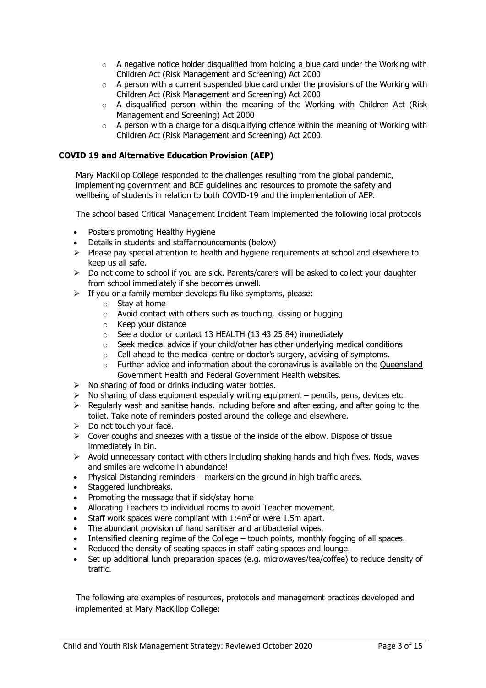- $\circ$  A negative notice holder disqualified from holding a blue card under the Working with Children Act (Risk Management and Screening) Act 2000
- $\circ$  A person with a current suspended blue card under the provisions of the Working with Children Act (Risk Management and Screening) Act 2000
- o A disqualified person within the meaning of the Working with Children Act (Risk Management and Screening) Act 2000
- $\circ$  A person with a charge for a disqualifying offence within the meaning of Working with Children Act (Risk Management and Screening) Act 2000.

#### **COVID 19 and Alternative Education Provision (AEP)**

Mary MacKillop College responded to the challenges resulting from the global pandemic, implementing government and BCE guidelines and resources to promote the safety and wellbeing of students in relation to both COVID-19 and the implementation of AEP.

The school based Critical Management Incident Team implemented the following local protocols

- Posters promoting Healthy Hygiene
- Details in students and staffannouncements (below)
- $\triangleright$  Please pay special attention to health and hygiene requirements at school and elsewhere to keep us all safe.
- $\triangleright$  Do not come to school if you are sick. Parents/carers will be asked to collect your daughter from school immediately if she becomes unwell.
- $\triangleright$  If you or a family member develops flu like symptoms, please:
	- o Stay at home
	- o Avoid contact with others such as touching, kissing or hugging
	- o Keep your distance
	- o See a doctor or contact 13 HEALTH (13 43 25 84) immediately
	- o Seek medical advice if your child/other has other underlying medical conditions
	- o Call ahead to the medical centre or doctor's surgery, advising of symptoms.
	- $\circ$  Further advice and information about the coronavirus is available on the Queensland [Government Health](http://conditions.health.qld.gov.au/HealthCondition/condition/14/217/838/novel-coronavirus) and [Federal Government Health](https://www.health.gov.au/news/health-alerts/novel-coronavirus-2019-ncov-health-alert) websites.
- ➢ No sharing of food or drinks including water bottles.
- $\triangleright$  No sharing of class equipment especially writing equipment pencils, pens, devices etc.
- $\triangleright$  Regularly wash and sanitise hands, including before and after eating, and after going to the toilet. Take note of reminders posted around the college and elsewhere.
- $\triangleright$  Do not touch your face.
- $\triangleright$  Cover coughs and sneezes with a tissue of the inside of the elbow. Dispose of tissue immediately in bin.
- $\triangleright$  Avoid unnecessary contact with others including shaking hands and high fives. Nods, waves and smiles are welcome in abundance!
- Physical Distancing reminders markers on the ground in high traffic areas.
- Staggered lunchbreaks.
- Promoting the message that if sick/stay home
- Allocating Teachers to individual rooms to avoid Teacher movement.
- Staff work spaces were compliant with  $1:4m^2$  or were 1.5m apart.
- The abundant provision of hand sanitiser and antibacterial wipes.
- Intensified cleaning regime of the College touch points, monthly fogging of all spaces.
- Reduced the density of seating spaces in staff eating spaces and lounge.
- Set up additional lunch preparation spaces (e.g. microwaves/tea/coffee) to reduce density of traffic.

The following are examples of resources, protocols and management practices developed and implemented at Mary MacKillop College: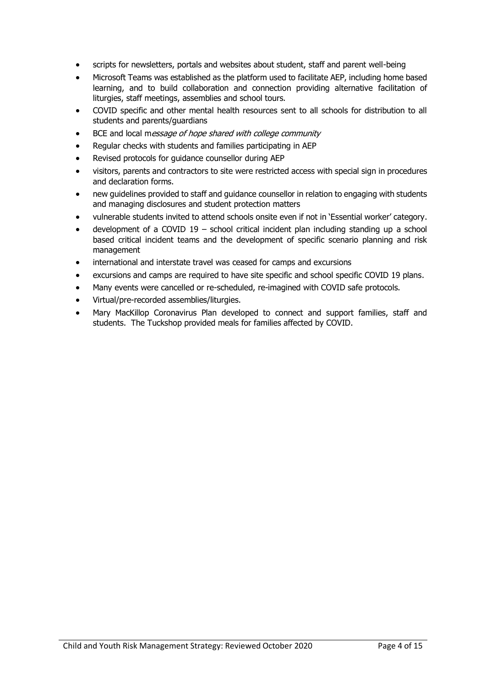- scripts for newsletters, portals and websites about student, staff and parent well-being
- Microsoft Teams was established as the platform used to facilitate AEP, including home based learning, and to build collaboration and connection providing alternative facilitation of liturgies, staff meetings, assemblies and school tours.
- COVID specific and other mental health resources sent to all schools for distribution to all students and parents/guardians
- BCE and local message of hope shared with college community
- Regular checks with students and families participating in AEP
- Revised protocols for guidance counsellor during AEP
- visitors, parents and contractors to site were restricted access with special sign in procedures and declaration forms.
- new guidelines provided to staff and guidance counsellor in relation to engaging with students and managing disclosures and student protection matters
- vulnerable students invited to attend schools onsite even if not in 'Essential worker' category.
- development of a COVID  $19$  school critical incident plan including standing up a school based critical incident teams and the development of specific scenario planning and risk management
- international and interstate travel was ceased for camps and excursions
- excursions and camps are required to have site specific and school specific COVID 19 plans.
- Many events were cancelled or re-scheduled, re-imagined with COVID safe protocols.
- Virtual/pre-recorded assemblies/liturgies.
- Mary MacKillop Coronavirus Plan developed to connect and support families, staff and students. The Tuckshop provided meals for families affected by COVID.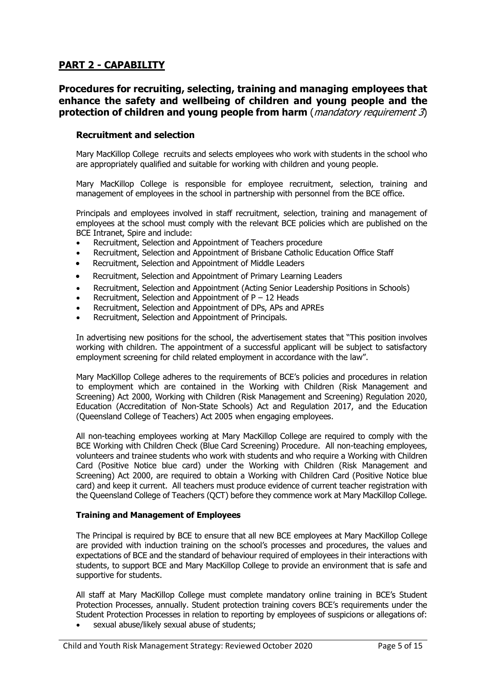# **PART 2 - CAPABILITY**

# **Procedures for recruiting, selecting, training and managing employees that enhance the safety and wellbeing of children and young people and the protection of children and young people from harm** (*mandatory requirement 3*)

### **Recruitment and selection**

Mary MacKillop College recruits and selects employees who work with students in the school who are appropriately qualified and suitable for working with children and young people.

Mary MacKillop College is responsible for employee recruitment, selection, training and management of employees in the school in partnership with personnel from the BCE office.

Principals and employees involved in staff recruitment, selection, training and management of employees at the school must comply with the relevant BCE policies which are published on the BCE Intranet, Spire and include:

- Recruitment, Selection and Appointment of Teachers procedure
- Recruitment, Selection and Appointment of Brisbane Catholic Education Office Staff
- Recruitment, Selection and Appointment of Middle Leaders
- Recruitment, Selection and Appointment of Primary Learning Leaders
- Recruitment, Selection and Appointment (Acting Senior Leadership Positions in Schools)
- Recruitment, Selection and Appointment of  $P 12$  Heads
- Recruitment, Selection and Appointment of DPs, APs and APREs
- Recruitment, Selection and Appointment of Principals.

In advertising new positions for the school, the advertisement states that "This position involves working with children. The appointment of a successful applicant will be subject to satisfactory employment screening for child related employment in accordance with the law".

Mary MacKillop College adheres to the requirements of BCE's policies and procedures in relation to employment which are contained in the Working with Children (Risk Management and Screening) Act 2000, Working with Children (Risk Management and Screening) Regulation 2020, Education (Accreditation of Non-State Schools) Act and Regulation 2017, and the Education (Queensland College of Teachers) Act 2005 when engaging employees.

All non-teaching employees working at Mary MacKillop College are required to comply with the BCE Working with Children Check (Blue Card Screening) Procedure. All non-teaching employees, volunteers and trainee students who work with students and who require a Working with Children Card (Positive Notice blue card) under the Working with Children (Risk Management and Screening) Act 2000, are required to obtain a Working with Children Card (Positive Notice blue card) and keep it current. All teachers must produce evidence of current teacher registration with the Queensland College of Teachers (QCT) before they commence work at Mary MacKillop College.

#### **Training and Management of Employees**

The Principal is required by BCE to ensure that all new BCE employees at Mary MacKillop College are provided with induction training on the school's processes and procedures, the values and expectations of BCE and the standard of behaviour required of employees in their interactions with students, to support BCE and Mary MacKillop College to provide an environment that is safe and supportive for students.

All staff at Mary MacKillop College must complete mandatory online training in BCE's Student Protection Processes, annually. Student protection training covers BCE's requirements under the Student Protection Processes in relation to reporting by employees of suspicions or allegations of:

sexual abuse/likely sexual abuse of students;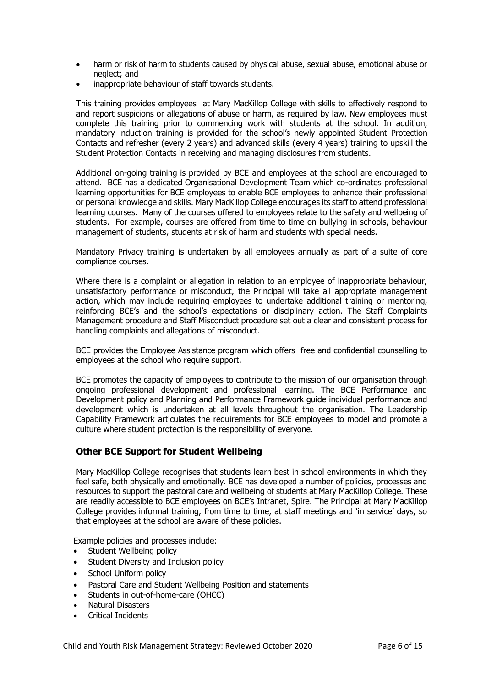- harm or risk of harm to students caused by physical abuse, sexual abuse, emotional abuse or neglect; and
- inappropriate behaviour of staff towards students.

This training provides employees at Mary MacKillop College with skills to effectively respond to and report suspicions or allegations of abuse or harm, as required by law. New employees must complete this training prior to commencing work with students at the school. In addition, mandatory induction training is provided for the school's newly appointed Student Protection Contacts and refresher (every 2 years) and advanced skills (every 4 years) training to upskill the Student Protection Contacts in receiving and managing disclosures from students.

Additional on-going training is provided by BCE and employees at the school are encouraged to attend. BCE has a dedicated Organisational Development Team which co-ordinates professional learning opportunities for BCE employees to enable BCE employees to enhance their professional or personal knowledge and skills. Mary MacKillop College encourages its staff to attend professional learning courses. Many of the courses offered to employees relate to the safety and wellbeing of students. For example, courses are offered from time to time on bullying in schools, behaviour management of students, students at risk of harm and students with special needs.

Mandatory Privacy training is undertaken by all employees annually as part of a suite of core compliance courses.

Where there is a complaint or allegation in relation to an employee of inappropriate behaviour, unsatisfactory performance or misconduct, the Principal will take all appropriate management action, which may include requiring employees to undertake additional training or mentoring, reinforcing BCE's and the school's expectations or disciplinary action. The Staff Complaints Management procedure and Staff Misconduct procedure set out a clear and consistent process for handling complaints and allegations of misconduct.

BCE provides the Employee Assistance program which offers free and confidential counselling to employees at the school who require support.

BCE promotes the capacity of employees to contribute to the mission of our organisation through ongoing professional development and professional learning. The BCE Performance and Development policy and Planning and Performance Framework guide individual performance and development which is undertaken at all levels throughout the organisation. The Leadership Capability Framework articulates the requirements for BCE employees to model and promote a culture where student protection is the responsibility of everyone.

### **Other BCE Support for Student Wellbeing**

Mary MacKillop College recognises that students learn best in school environments in which they feel safe, both physically and emotionally. BCE has developed a number of policies, processes and resources to support the pastoral care and wellbeing of students at Mary MacKillop College. These are readily accessible to BCE employees on BCE's Intranet, Spire. The Principal at Mary MacKillop College provides informal training, from time to time, at staff meetings and 'in service' days, so that employees at the school are aware of these policies.

Example policies and processes include:

- Student Wellbeing policy
- Student Diversity and Inclusion policy
- School Uniform policy
- Pastoral Care and Student Wellbeing Position and statements
- Students in out-of-home-care (OHCC)
- Natural Disasters
- Critical Incidents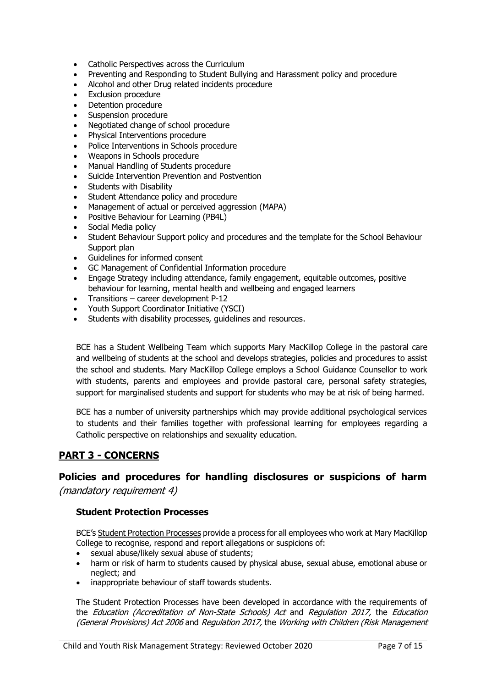- Catholic Perspectives across the Curriculum
- Preventing and Responding to Student Bullying and Harassment policy and procedure
- Alcohol and other Drug related incidents procedure
- Exclusion procedure
- Detention procedure
- Suspension procedure
- Negotiated change of school procedure
- Physical Interventions procedure
- Police Interventions in Schools procedure
- Weapons in Schools procedure
- Manual Handling of Students procedure
- Suicide Intervention Prevention and Postvention
- Students with Disability
- Student Attendance policy and procedure
- Management of actual or perceived aggression (MAPA)
- Positive Behaviour for Learning (PB4L)
- Social Media policy
- Student Behaviour Support policy and procedures and the template for the School Behaviour Support plan
- Guidelines for informed consent
- GC Management of Confidential Information procedure
- Engage Strategy including attendance, family engagement, equitable outcomes, positive behaviour for learning, mental health and wellbeing and engaged learners
- Transitions career development P-12
- Youth Support Coordinator Initiative (YSCI)
- Students with disability processes, guidelines and resources.

BCE has a Student Wellbeing Team which supports Mary MacKillop College in the pastoral care and wellbeing of students at the school and develops strategies, policies and procedures to assist the school and students. Mary MacKillop College employs a School Guidance Counsellor to work with students, parents and employees and provide pastoral care, personal safety strategies, support for marginalised students and support for students who may be at risk of being harmed.

BCE has a number of university partnerships which may provide additional psychological services to students and their families together with professional learning for employees regarding a Catholic perspective on relationships and sexuality education.

# **PART 3 - CONCERNS**

# **Policies and procedures for handling disclosures or suspicions of harm**

(mandatory requirement 4)

### **Student Protection Processes**

BCE's [Student Protection Processes](http://www.bne.catholic.edu.au/students-parents/student-protection/Documents/StudentProtectionProcesses.pdf) provide a process for all employees who work at Mary MacKillop College to recognise, respond and report allegations or suspicions of:

- sexual abuse/likely sexual abuse of students;
- harm or risk of harm to students caused by physical abuse, sexual abuse, emotional abuse or neglect; and
- inappropriate behaviour of staff towards students.

The Student Protection Processes have been developed in accordance with the requirements of the *Education (Accreditation of Non-State Schools) Act* and *Regulation 2017*, the *Education* (General Provisions) Act 2006 and Regulation 2017, the Working with Children (Risk Management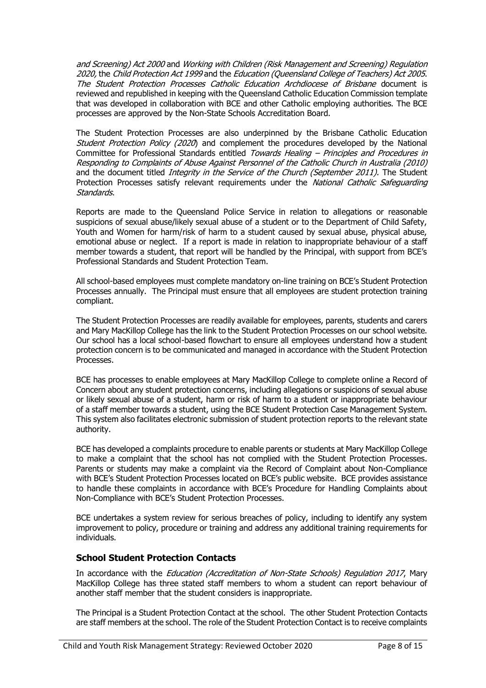and Screening) Act 2000 and Working with Children (Risk Management and Screening) Regulation 2020, the Child Protection Act 1999 and the Education (Queensland College of Teachers) Act 2005. The Student Protection Processes Catholic Education Archdiocese of Brisbane document is reviewed and republished in keeping with the Queensland Catholic Education Commission template that was developed in collaboration with BCE and other Catholic employing authorities. The BCE processes are approved by the Non-State Schools Accreditation Board.

The Student Protection Processes are also underpinned by the Brisbane Catholic Education Student Protection Policy (2020) and complement the procedures developed by the National Committee for Professional Standards entitled Towards Healing – Principles and Procedures in Responding to Complaints of Abuse Against Personnel of the Catholic Church in Australia (2010) and the document titled *Integrity in the Service of the Church (September 2011)*. The Student Protection Processes satisfy relevant requirements under the National Catholic Safeguarding Standards.

Reports are made to the Queensland Police Service in relation to allegations or reasonable suspicions of sexual abuse/likely sexual abuse of a student or to the Department of Child Safety, Youth and Women for harm/risk of harm to a student caused by sexual abuse, physical abuse, emotional abuse or neglect. If a report is made in relation to inappropriate behaviour of a staff member towards a student, that report will be handled by the Principal, with support from BCE's Professional Standards and Student Protection Team.

All school-based employees must complete mandatory on-line training on BCE's Student Protection Processes annually. The Principal must ensure that all employees are student protection training compliant.

The Student Protection Processes are readily available for employees, parents, students and carers and Mary MacKillop College has the link to the Student Protection Processes on our school website. Our school has a local school-based flowchart to ensure all employees understand how a student protection concern is to be communicated and managed in accordance with the Student Protection Processes.

BCE has processes to enable employees at Mary MacKillop College to complete online a Record of Concern about any student protection concerns, including allegations or suspicions of sexual abuse or likely sexual abuse of a student, harm or risk of harm to a student or inappropriate behaviour of a staff member towards a student, using the BCE Student Protection Case Management System. This system also facilitates electronic submission of student protection reports to the relevant state authority.

BCE has developed a complaints procedure to enable parents or students at Mary MacKillop College to make a complaint that the school has not complied with the Student Protection Processes. Parents or students may make a complaint via the Record of Complaint about Non-Compliance with BCE's Student Protection Processes located on BCE's public website. BCE provides assistance to handle these complaints in accordance with BCE's Procedure for Handling Complaints about Non-Compliance with BCE's Student Protection Processes.

BCE undertakes a system review for serious breaches of policy, including to identify any system improvement to policy, procedure or training and address any additional training requirements for individuals.

# **School Student Protection Contacts**

In accordance with the *Education (Accreditation of Non-State Schools) Regulation 2017*, Mary MacKillop College has three stated staff members to whom a student can report behaviour of another staff member that the student considers is inappropriate.

The Principal is a Student Protection Contact at the school. The other Student Protection Contacts are staff members at the school. The role of the Student Protection Contact is to receive complaints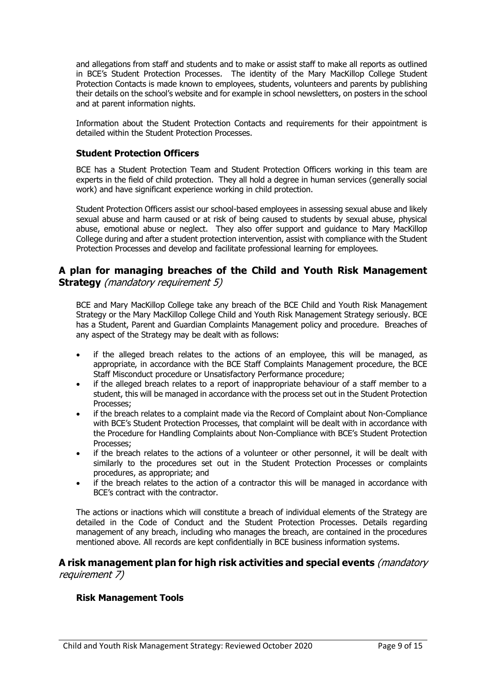and allegations from staff and students and to make or assist staff to make all reports as outlined in BCE's Student Protection Processes. The identity of the Mary MacKillop College Student Protection Contacts is made known to employees, students, volunteers and parents by publishing their details on the school's website and for example in school newsletters, on posters in the school and at parent information nights.

Information about the Student Protection Contacts and requirements for their appointment is detailed within the Student Protection Processes.

### **Student Protection Officers**

BCE has a Student Protection Team and Student Protection Officers working in this team are experts in the field of child protection. They all hold a degree in human services (generally social work) and have significant experience working in child protection.

Student Protection Officers assist our school-based employees in assessing sexual abuse and likely sexual abuse and harm caused or at risk of being caused to students by sexual abuse, physical abuse, emotional abuse or neglect. They also offer support and guidance to Mary MacKillop College during and after a student protection intervention, assist with compliance with the Student Protection Processes and develop and facilitate professional learning for employees.

# **A plan for managing breaches of the Child and Youth Risk Management Strategy** (mandatory requirement 5)

BCE and Mary MacKillop College take any breach of the BCE Child and Youth Risk Management Strategy or the Mary MacKillop College Child and Youth Risk Management Strategy seriously. BCE has a Student, Parent and Guardian Complaints Management policy and procedure. Breaches of any aspect of the Strategy may be dealt with as follows:

- if the alleged breach relates to the actions of an employee, this will be managed, as appropriate, in accordance with the BCE Staff Complaints Management procedure, the BCE Staff Misconduct procedure or Unsatisfactory Performance procedure;
- if the alleged breach relates to a report of inappropriate behaviour of a staff member to a student, this will be managed in accordance with the process set out in the Student Protection Processes;
- if the breach relates to a complaint made via the Record of Complaint about Non-Compliance with BCE's Student Protection Processes, that complaint will be dealt with in accordance with the Procedure for Handling Complaints about Non-Compliance with BCE's Student Protection Processes;
- if the breach relates to the actions of a volunteer or other personnel, it will be dealt with similarly to the procedures set out in the Student Protection Processes or complaints procedures, as appropriate; and
- if the breach relates to the action of a contractor this will be managed in accordance with BCE's contract with the contractor.

The actions or inactions which will constitute a breach of individual elements of the Strategy are detailed in the Code of Conduct and the Student Protection Processes. Details regarding management of any breach, including who manages the breach, are contained in the procedures mentioned above. All records are kept confidentially in BCE business information systems.

# **A risk management plan for high risk activities and special events** (mandatory requirement 7)

# **Risk Management Tools**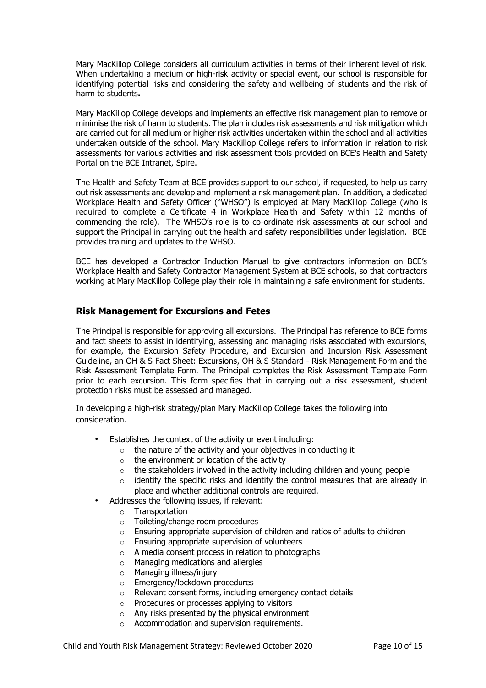Mary MacKillop College considers all curriculum activities in terms of their inherent level of risk. When undertaking a medium or high-risk activity or special event, our school is responsible for identifying potential risks and considering the safety and wellbeing of students and the risk of harm to students**.** 

Mary MacKillop College develops and implements an effective risk management plan to remove or minimise the risk of harm to students. The plan includes risk assessments and risk mitigation which are carried out for all medium or higher risk activities undertaken within the school and all activities undertaken outside of the school. Mary MacKillop College refers to information in relation to risk assessments for various activities and risk assessment tools provided on BCE's Health and Safety Portal on the BCE Intranet, Spire.

The Health and Safety Team at BCE provides support to our school, if requested, to help us carry out risk assessments and develop and implement a risk management plan. In addition, a dedicated Workplace Health and Safety Officer ("WHSO") is employed at Mary MacKillop College (who is required to complete a Certificate 4 in Workplace Health and Safety within 12 months of commencing the role). The WHSO's role is to co-ordinate risk assessments at our school and support the Principal in carrying out the health and safety responsibilities under legislation. BCE provides training and updates to the WHSO.

BCE has developed a Contractor Induction Manual to give contractors information on BCE's Workplace Health and Safety Contractor Management System at BCE schools, so that contractors working at Mary MacKillop College play their role in maintaining a safe environment for students.

### **Risk Management for Excursions and Fetes**

The Principal is responsible for approving all excursions. The Principal has reference to BCE forms and fact sheets to assist in identifying, assessing and managing risks associated with excursions, for example, the Excursion Safety Procedure, and Excursion and Incursion Risk Assessment Guideline, an OH & S Fact Sheet: Excursions, OH & S Standard - Risk Management Form and the Risk Assessment Template Form. The Principal completes the Risk Assessment Template Form prior to each excursion. This form specifies that in carrying out a risk assessment, student protection risks must be assessed and managed.

In developing a high-risk strategy/plan Mary MacKillop College takes the following into consideration.

- Establishes the context of the activity or event including:
	- o the nature of the activity and your objectives in conducting it
	- $\circ$  the environment or location of the activity
	- $\circ$  the stakeholders involved in the activity including children and young people
	- $\circ$  identify the specific risks and identify the control measures that are already in place and whether additional controls are required.
- Addresses the following issues, if relevant:
	- o Transportation
		- o Toileting/change room procedures
		- o Ensuring appropriate supervision of children and ratios of adults to children
		- o Ensuring appropriate supervision of volunteers
		- o A media consent process in relation to photographs
		- o Managing medications and allergies
		- o Managing illness/injury
		- o Emergency/lockdown procedures
		- o Relevant consent forms, including emergency contact details
		- o Procedures or processes applying to visitors
		- o Any risks presented by the physical environment
		- $\circ$  Accommodation and supervision requirements.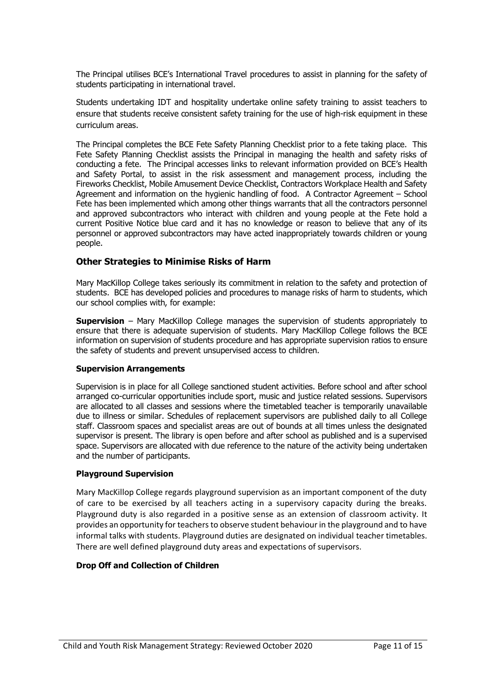The Principal utilises BCE's International Travel procedures to assist in planning for the safety of students participating in international travel.

Students undertaking IDT and hospitality undertake online safety training to assist teachers to ensure that students receive consistent safety training for the use of high-risk equipment in these curriculum areas.

The Principal completes the BCE Fete Safety Planning Checklist prior to a fete taking place. This Fete Safety Planning Checklist assists the Principal in managing the health and safety risks of conducting a fete. The Principal accesses links to relevant information provided on BCE's Health and Safety Portal, to assist in the risk assessment and management process, including the Fireworks Checklist, Mobile Amusement Device Checklist, Contractors Workplace Health and Safety Agreement and information on the hygienic handling of food. A Contractor Agreement – School Fete has been implemented which among other things warrants that all the contractors personnel and approved subcontractors who interact with children and young people at the Fete hold a current Positive Notice blue card and it has no knowledge or reason to believe that any of its personnel or approved subcontractors may have acted inappropriately towards children or young people.

### **Other Strategies to Minimise Risks of Harm**

Mary MacKillop College takes seriously its commitment in relation to the safety and protection of students. BCE has developed policies and procedures to manage risks of harm to students, which our school complies with, for example:

**Supervision** – Mary MacKillop College manages the supervision of students appropriately to ensure that there is adequate supervision of students. Mary MacKillop College follows the BCE information on supervision of students procedure and has appropriate supervision ratios to ensure the safety of students and prevent unsupervised access to children.

### **Supervision Arrangements**

Supervision is in place for all College sanctioned student activities. Before school and after school arranged co-curricular opportunities include sport, music and justice related sessions. Supervisors are allocated to all classes and sessions where the timetabled teacher is temporarily unavailable due to illness or similar. Schedules of replacement supervisors are published daily to all College staff. Classroom spaces and specialist areas are out of bounds at all times unless the designated supervisor is present. The library is open before and after school as published and is a supervised space. Supervisors are allocated with due reference to the nature of the activity being undertaken and the number of participants.

### **Playground Supervision**

Mary MacKillop College regards playground supervision as an important component of the duty of care to be exercised by all teachers acting in a supervisory capacity during the breaks. Playground duty is also regarded in a positive sense as an extension of classroom activity. It provides an opportunity for teachers to observe student behaviour in the playground and to have informal talks with students. Playground duties are designated on individual teacher timetables. There are well defined playground duty areas and expectations of supervisors.

### **Drop Off and Collection of Children**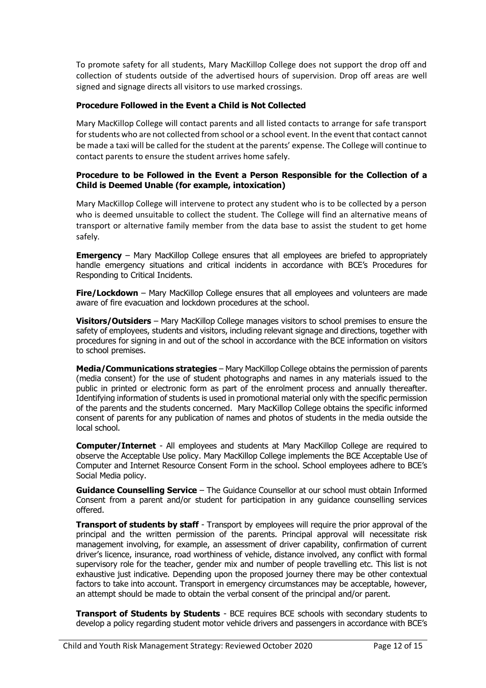To promote safety for all students, Mary MacKillop College does not support the drop off and collection of students outside of the advertised hours of supervision. Drop off areas are well signed and signage directs all visitors to use marked crossings.

### **Procedure Followed in the Event a Child is Not Collected**

Mary MacKillop College will contact parents and all listed contacts to arrange for safe transport for students who are not collected from school or a school event. In the event that contact cannot be made a taxi will be called for the student at the parents' expense. The College will continue to contact parents to ensure the student arrives home safely.

#### **Procedure to be Followed in the Event a Person Responsible for the Collection of a Child is Deemed Unable (for example, intoxication)**

Mary MacKillop College will intervene to protect any student who is to be collected by a person who is deemed unsuitable to collect the student. The College will find an alternative means of transport or alternative family member from the data base to assist the student to get home safely.

**Emergency** – Mary MacKillop College ensures that all employees are briefed to appropriately handle emergency situations and critical incidents in accordance with BCE's Procedures for Responding to Critical Incidents.

**Fire/Lockdown** – Mary MacKillop College ensures that all employees and volunteers are made aware of fire evacuation and lockdown procedures at the school.

**Visitors/Outsiders** – Mary MacKillop College manages visitors to school premises to ensure the safety of employees, students and visitors, including relevant signage and directions, together with procedures for signing in and out of the school in accordance with the BCE information on visitors to school premises.

**Media/Communications strategies** – Mary MacKillop College obtains the permission of parents (media consent) for the use of student photographs and names in any materials issued to the public in printed or electronic form as part of the enrolment process and annually thereafter. Identifying information of students is used in promotional material only with the specific permission of the parents and the students concerned. Mary MacKillop College obtains the specific informed consent of parents for any publication of names and photos of students in the media outside the local school.

**Computer/Internet** - All employees and students at Mary MacKillop College are required to observe the Acceptable Use policy. Mary MacKillop College implements the BCE Acceptable Use of Computer and Internet Resource Consent Form in the school. School employees adhere to BCE's Social Media policy.

**Guidance Counselling Service** – The Guidance Counsellor at our school must obtain Informed Consent from a parent and/or student for participation in any guidance counselling services offered.

**Transport of students by staff** - Transport by employees will require the prior approval of the principal and the written permission of the parents. Principal approval will necessitate risk management involving, for example, an assessment of driver capability, confirmation of current driver's licence, insurance, road worthiness of vehicle, distance involved, any conflict with formal supervisory role for the teacher, gender mix and number of people travelling etc. This list is not exhaustive just indicative. Depending upon the proposed journey there may be other contextual factors to take into account. Transport in emergency circumstances may be acceptable, however, an attempt should be made to obtain the verbal consent of the principal and/or parent.

**Transport of Students by Students** - BCE requires BCE schools with secondary students to develop a policy regarding student motor vehicle drivers and passengers in accordance with BCE's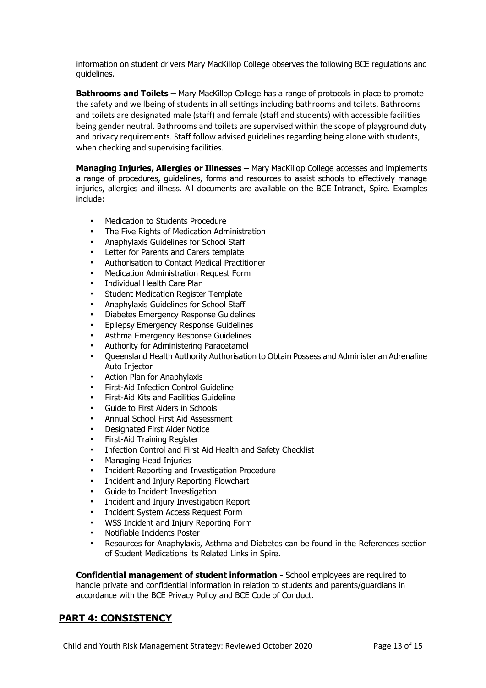information on student drivers Mary MacKillop College observes the following BCE regulations and guidelines.

**Bathrooms and Toilets –** Mary MacKillop College has a range of protocols in place to promote the safety and wellbeing of students in all settings including bathrooms and toilets. Bathrooms and toilets are designated male (staff) and female (staff and students) with accessible facilities being gender neutral. Bathrooms and toilets are supervised within the scope of playground duty and privacy requirements. Staff follow advised guidelines regarding being alone with students, when checking and supervising facilities.

**Managing Injuries, Allergies or Illnesses –** Mary MacKillop College accesses and implements a range of procedures, guidelines, forms and resources to assist schools to effectively manage injuries, allergies and illness. All documents are available on the BCE Intranet, Spire. Examples include:

- Medication to Students Procedure
- The Five Rights of Medication Administration
- Anaphylaxis Guidelines for School Staff
- Letter for Parents and Carers template
- Authorisation to Contact Medical Practitioner
- Medication Administration Request Form
- Individual Health Care Plan
- Student Medication Register Template
- Anaphylaxis Guidelines for School Staff
- Diabetes Emergency Response Guidelines
- Epilepsy Emergency Response Guidelines
- Asthma Emergency Response Guidelines
- Authority for Administering Paracetamol
- Queensland Health Authority Authorisation to Obtain Possess and Administer an Adrenaline Auto Injector
- Action Plan for Anaphylaxis
- First-Aid Infection Control Guideline
- First-Aid Kits and Facilities Guideline
- Guide to First Aiders in Schools
- Annual School First Aid Assessment
- Designated First Aider Notice
- First-Aid Training Register
- Infection Control and First Aid Health and Safety Checklist
- Managing Head Injuries
- Incident Reporting and Investigation Procedure
- Incident and Injury Reporting Flowchart
- Guide to Incident Investigation
- Incident and Injury Investigation Report
- Incident System Access Request Form
- WSS Incident and Injury Reporting Form
- Notifiable Incidents Poster
- Resources for Anaphylaxis, Asthma and Diabetes can be found in the References section of Student Medications its Related Links in Spire.

**Confidential management of student information -** School employees are required to handle private and confidential information in relation to students and parents/guardians in accordance with the BCE Privacy Policy and BCE Code of Conduct.

# **PART 4: CONSISTENCY**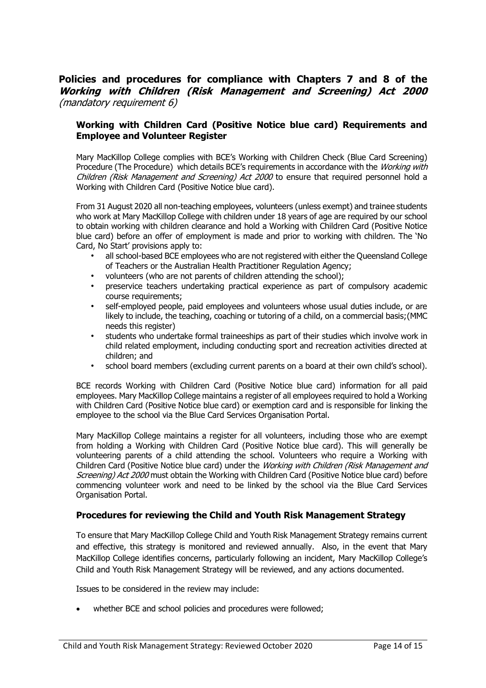# **Policies and procedures for compliance with Chapters 7 and 8 of the Working with Children (Risk Management and Screening) Act 2000** (mandatory requirement 6)

### **Working with Children Card (Positive Notice blue card) Requirements and Employee and Volunteer Register**

Mary MacKillop College complies with BCE's Working with Children Check (Blue Card Screening) Procedure (The Procedure) which details BCE's requirements in accordance with the *Working with* Children (Risk Management and Screening) Act 2000 to ensure that required personnel hold a Working with Children Card (Positive Notice blue card).

From 31 August 2020 all non-teaching employees, volunteers (unless exempt) and trainee students who work at Mary MacKillop College with children under 18 years of age are required by our school to obtain working with children clearance and hold a Working with Children Card (Positive Notice blue card) before an offer of employment is made and prior to working with children. The 'No Card, No Start' provisions apply to:

- all school-based BCE employees who are not registered with either the Queensland College of Teachers or the Australian Health Practitioner Regulation Agency;
- volunteers (who are not parents of children attending the school);
- preservice teachers undertaking practical experience as part of compulsory academic course requirements;
- self-employed people, paid employees and volunteers whose usual duties include, or are likely to include, the teaching, coaching or tutoring of a child, on a commercial basis;(MMC needs this register)
- students who undertake formal traineeships as part of their studies which involve work in child related employment, including conducting sport and recreation activities directed at children; and
- school board members (excluding current parents on a board at their own child's school).

BCE records Working with Children Card (Positive Notice blue card) information for all paid employees. Mary MacKillop College maintains a register of all employees required to hold a Working with Children Card (Positive Notice blue card) or exemption card and is responsible for linking the employee to the school via the Blue Card Services Organisation Portal.

Mary MacKillop College maintains a register for all volunteers, including those who are exempt from holding a Working with Children Card (Positive Notice blue card). This will generally be volunteering parents of a child attending the school. Volunteers who require a Working with Children Card (Positive Notice blue card) under the *Working with Children (Risk Management and* Screening) Act 2000 must obtain the Working with Children Card (Positive Notice blue card) before commencing volunteer work and need to be linked by the school via the Blue Card Services Organisation Portal.

# **Procedures for reviewing the Child and Youth Risk Management Strategy**

To ensure that Mary MacKillop College Child and Youth Risk Management Strategy remains current and effective, this strategy is monitored and reviewed annually. Also, in the event that Mary MacKillop College identifies concerns, particularly following an incident, Mary MacKillop College's Child and Youth Risk Management Strategy will be reviewed, and any actions documented.

Issues to be considered in the review may include:

whether BCE and school policies and procedures were followed;